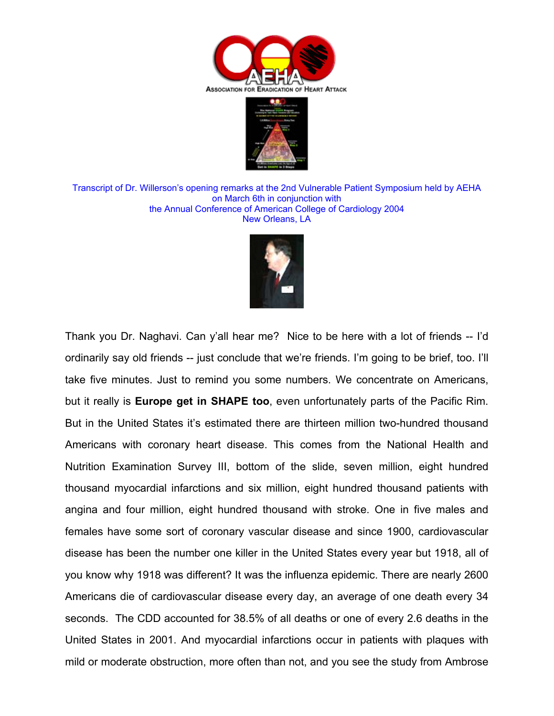



Transcript of Dr. Willerson's opening remarks at the 2nd Vulnerable Patient Symposium held by AEHA on March 6th in conjunction with the Annual Conference of American College of Cardiology 2004 New Orleans, LA



Thank you Dr. Naghavi. Can y'all hear me? Nice to be here with a lot of friends -- I'd ordinarily say old friends -- just conclude that we're friends. I'm going to be brief, too. I'll take five minutes. Just to remind you some numbers. We concentrate on Americans, but it really is **Europe get in SHAPE too**, even unfortunately parts of the Pacific Rim. But in the United States it's estimated there are thirteen million two-hundred thousand Americans with coronary heart disease. This comes from the National Health and Nutrition Examination Survey III, bottom of the slide, seven million, eight hundred thousand myocardial infarctions and six million, eight hundred thousand patients with angina and four million, eight hundred thousand with stroke. One in five males and females have some sort of coronary vascular disease and since 1900, cardiovascular disease has been the number one killer in the United States every year but 1918, all of you know why 1918 was different? It was the influenza epidemic. There are nearly 2600 Americans die of cardiovascular disease every day, an average of one death every 34 seconds. The CDD accounted for 38.5% of all deaths or one of every 2.6 deaths in the United States in 2001. And myocardial infarctions occur in patients with plaques with mild or moderate obstruction, more often than not, and you see the study from Ambrose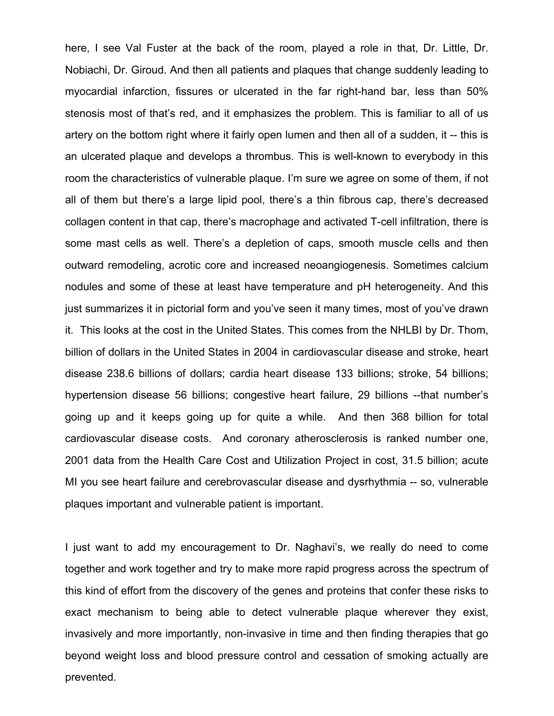here, I see Val Fuster at the back of the room, played a role in that, Dr. Little, Dr. Nobiachi, Dr. Giroud. And then all patients and plaques that change suddenly leading to myocardial infarction, fissures or ulcerated in the far right-hand bar, less than 50% stenosis most of that's red, and it emphasizes the problem. This is familiar to all of us artery on the bottom right where it fairly open lumen and then all of a sudden, it -- this is an ulcerated plaque and develops a thrombus. This is well-known to everybody in this room the characteristics of vulnerable plaque. I'm sure we agree on some of them, if not all of them but there's a large lipid pool, there's a thin fibrous cap, there's decreased collagen content in that cap, there's macrophage and activated T-cell infiltration, there is some mast cells as well. There's a depletion of caps, smooth muscle cells and then outward remodeling, acrotic core and increased neoangiogenesis. Sometimes calcium nodules and some of these at least have temperature and pH heterogeneity. And this just summarizes it in pictorial form and you've seen it many times, most of you've drawn it. This looks at the cost in the United States. This comes from the NHLBI by Dr. Thom, billion of dollars in the United States in 2004 in cardiovascular disease and stroke, heart disease 238.6 billions of dollars; cardia heart disease 133 billions; stroke, 54 billions; hypertension disease 56 billions; congestive heart failure, 29 billions --that number's going up and it keeps going up for quite a while. And then 368 billion for total cardiovascular disease costs. And coronary atherosclerosis is ranked number one, 2001 data from the Health Care Cost and Utilization Project in cost, 31.5 billion; acute MI you see heart failure and cerebrovascular disease and dysrhythmia -- so, vulnerable plaques important and vulnerable patient is important.

I just want to add my encouragement to Dr. Naghavi's, we really do need to come together and work together and try to make more rapid progress across the spectrum of this kind of effort from the discovery of the genes and proteins that confer these risks to exact mechanism to being able to detect vulnerable plaque wherever they exist, invasively and more importantly, non-invasive in time and then finding therapies that go beyond weight loss and blood pressure control and cessation of smoking actually are prevented.